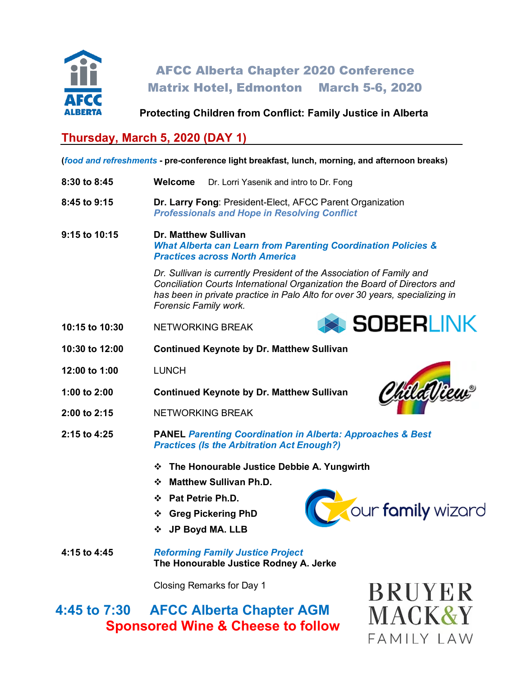

AFCC Alberta Chapter 2020 Conference Matrix Hotel, Edmonton March 5-6, 2020

**Protecting Children from Conflict: Family Justice in Alberta**

# **Thursday, March 5, 2020 (DAY 1)**

**(***food and refreshments* **- pre-conference light breakfast, lunch, morning, and afternoon breaks)**

- **8:30 to 8:45 Welcome** Dr. Lorri Yasenik and intro to Dr. Fong
- **8:45 to 9:15 Dr. Larry Fong**: President-Elect, AFCC Parent Organization *Professionals and Hope in Resolving Conflict*

**9:15 to 10:15 Dr. Matthew Sullivan** *What Alberta can Learn from Parenting Coordination Policies & Practices across North America*

> *Dr. Sullivan is currently President of the Association of Family and Conciliation Courts International Organization the Board of Directors and has been in private practice in Palo Alto for over 30 years, specializing in Forensic Family work.*

- **10:15 to 10:30** NETWORKING BREAK
- **10:30 to 12:00 Continued Keynote by Dr. Matthew Sullivan**
- **12:00 to 1:00** LUNCH
- **1:00 to 2:00 Continued Keynote by Dr. Matthew Sullivan**
- **2:00 to 2:15** NETWORKING BREAK
- **2:15 to 4:25 PANEL** *Parenting Coordination in Alberta: Approaches & Best Practices (Is the Arbitration Act Enough?)*
	- **The Honourable Justice Debbie A. Yungwirth**
	- **Matthew Sullivan Ph.D.**
	- **Pat Petrie Ph.D.**
	- **Greg Pickering PhD**
	- **JP Boyd MA. LLB**



SOBERLINK

ChildWiew

**4:15 to 4:45** *Reforming Family Justice Project* **The Honourable Justice Rodney A. Jerke**

Closing Remarks for Day 1

**4:45 to 7:30 AFCC Alberta Chapter AGM Sponsored Wine & Cheese to follow**

**BRUYER** MACK&Y  $FAMIIYIAW$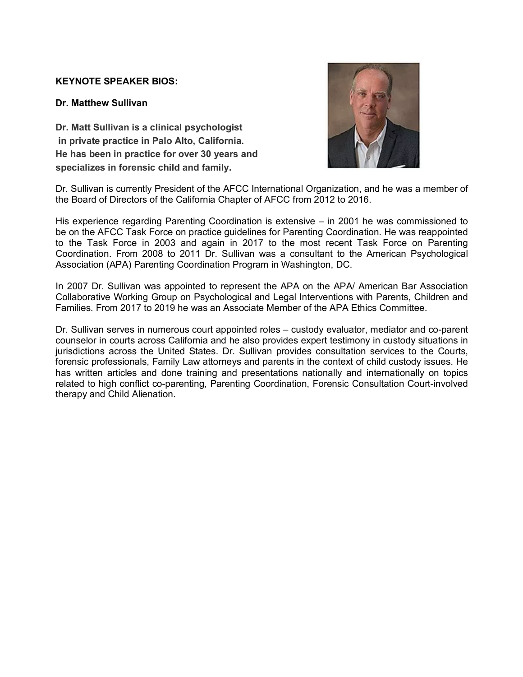### **KEYNOTE SPEAKER BIOS:**

#### **Dr. Matthew Sullivan**

**Dr. Matt Sullivan is a clinical psychologist in private practice in Palo Alto, California. He has been in practice for over 30 years and specializes in forensic child and family.**



Dr. Sullivan is currently President of the AFCC International Organization, and he was a member of the Board of Directors of the California Chapter of AFCC from 2012 to 2016.

His experience regarding Parenting Coordination is extensive – in 2001 he was commissioned to be on the AFCC Task Force on practice guidelines for Parenting Coordination. He was reappointed to the Task Force in 2003 and again in 2017 to the most recent Task Force on Parenting Coordination. From 2008 to 2011 Dr. Sullivan was a consultant to the American Psychological Association (APA) Parenting Coordination Program in Washington, DC.

In 2007 Dr. Sullivan was appointed to represent the APA on the APA/ American Bar Association Collaborative Working Group on Psychological and Legal Interventions with Parents, Children and Families. From 2017 to 2019 he was an Associate Member of the APA Ethics Committee.

Dr. Sullivan serves in numerous court appointed roles – custody evaluator, mediator and co-parent counselor in courts across California and he also provides expert testimony in custody situations in jurisdictions across the United States. Dr. Sullivan provides consultation services to the Courts, forensic professionals, Family Law attorneys and parents in the context of child custody issues. He has written articles and done training and presentations nationally and internationally on topics related to high conflict co-parenting, Parenting Coordination, Forensic Consultation Court-involved therapy and Child Alienation.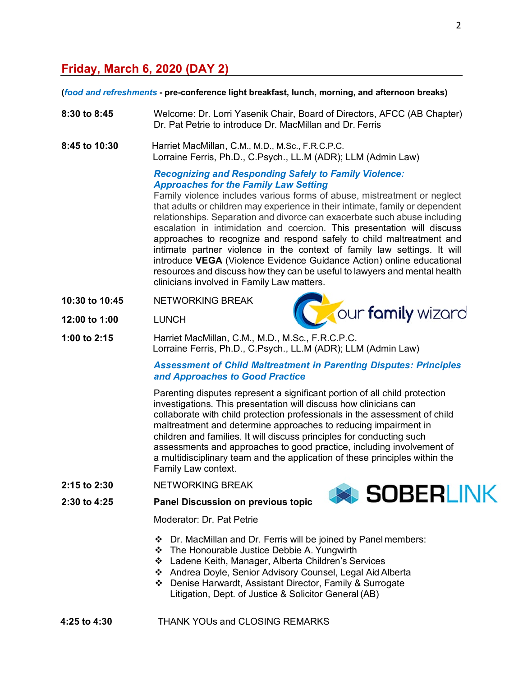## **Friday, March 6, 2020 (DAY 2)**

#### **(***food and refreshments* **- pre-conference light breakfast, lunch, morning, and afternoon breaks)**

- **8:30 to 8:45** Welcome: Dr. Lorri Yasenik Chair, Board of Directors, AFCC (AB Chapter) Dr. Pat Petrie to introduce Dr. MacMillan and Dr. Ferris
- **8:45 to 10:30** Harriet MacMillan, C.M., M.D., M.Sc., F.R.C.P.C. Lorraine Ferris, Ph.D., C.Psych., LL.M (ADR); LLM (Admin Law)

#### *Recognizing and Responding Safely to Family Violence: Approaches for the Family Law Setting*

Family violence includes various forms of abuse, mistreatment or neglect that adults or children may experience in their intimate, family or dependent relationships. Separation and divorce can exacerbate such abuse including escalation in intimidation and coercion. This presentation will discuss approaches to recognize and respond safely to child maltreatment and intimate partner violence in the context of family law settings. It will introduce **VEGA** (Violence Evidence Guidance Action) online educational resources and discuss how they can be useful to lawyers and mental health clinicians involved in Family Law matters.

**10:30 to 10:45** NETWORKING BREAK



- **12:00 to 1:00** LUNCH
- **1:00 to 2:15** Harriet MacMillan, C.M., M.D., M.Sc., F.R.C.P.C. Lorraine Ferris, Ph.D., C.Psych., LL.M (ADR); LLM (Admin Law)

#### *Assessment of Child Maltreatment in Parenting Disputes: Principles and Approaches to Good Practice*

Parenting disputes represent a significant portion of all child protection investigations. This presentation will discuss how clinicians can collaborate with child protection professionals in the assessment of child maltreatment and determine approaches to reducing impairment in children and families. It will discuss principles for conducting such assessments and approaches to good practice, including involvement of a multidisciplinary team and the application of these principles within the Family Law context.

**2:15 to 2:30** NETWORKING BREAK



**2:30 to 4:25 Panel Discussion on previous topic**

Moderator: Dr. Pat Petrie

- Dr. MacMillan and Dr. Ferris will be joined by Panel members:
- ❖ The Honourable Justice Debbie A. Yungwirth
- Ladene Keith, Manager, Alberta Children's Services
- Andrea Doyle, Senior Advisory Counsel, Legal Aid Alberta
- Denise Harwardt, Assistant Director, Family & Surrogate Litigation, Dept. of Justice & Solicitor General (AB)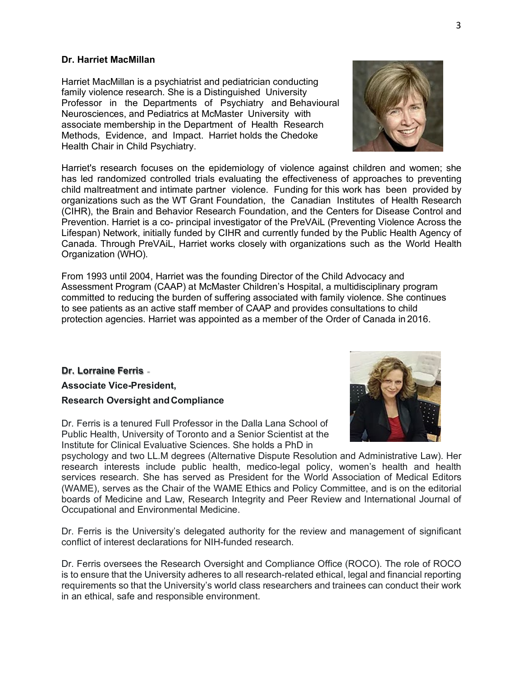#### **Dr. Harriet MacMillan**

Harriet MacMillan is a psychiatrist and pediatrician conducting family violence research. She is a Distinguished University Professor in the Departments of Psychiatry and Behavioural Neurosciences, and Pediatrics at McMaster University with associate membership in the Department of Health Research Methods, Evidence, and Impact. Harriet holds the Chedoke Health Chair in Child Psychiatry.

Harriet's research focuses on the epidemiology of violence against children and women; she has led randomized controlled trials evaluating the effectiveness of approaches to preventing child maltreatment and intimate partner violence. Funding for this work has been provided by organizations such as the WT Grant Foundation, the Canadian Institutes of Health Research (CIHR), the Brain and Behavior Research Foundation, and the Centers for Disease Control and Prevention. Harriet is a co- principal investigator of the [PreVAiL](http://www.prevailresearch.ca/) (Preventing Violence Across the Lifespan) Network, initially funded by CIHR and currently funded by the Public Health Agency of Canada. Through PreVAiL, Harriet works closely with organizations such as the World Health Organization (WHO).

From 1993 until 2004, Harriet was the founding Director of the Child Advocacy and Assessment Program (CAAP) at McMaster Children's Hospital, a multidisciplinary program committed to reducing the burden of suffering associated with family violence. She continues to see patients as an active staff member of CAAP and provides consultations to child protection agencies. Harriet was appointed as a member of the Order of Canada in 2016.

## **Dr. Lorraine Ferris Associate Vice-President, Research Oversight andCompliance**

Dr. Ferris is a tenured Full Professor in the Dalla Lana School of Public Health, University of Toronto and a Senior Scientist at the Institute for Clinical Evaluative Sciences. She holds a PhD in

psychology and two LL.M degrees (Alternative Dispute Resolution and Administrative Law). Her research interests include public health, medico-legal policy, women's health and health services research. She has served as President for the World Association of Medical Editors (WAME), serves as the Chair of the WAME Ethics and Policy Committee, and is on the editorial boards of Medicine and Law, Research Integrity and Peer Review and International Journal of Occupational and Environmental Medicine.

Dr. Ferris is the University's delegated authority for the review and management of significant conflict of interest declarations for NIH-funded research.

Dr. Ferris oversees the Research Oversight and Compliance Office (ROCO). The role of ROCO is to ensure that the University adheres to all research-related ethical, legal and financial reporting requirements so that the University's world class researchers and trainees can conduct their work in an ethical, safe and responsible environment.